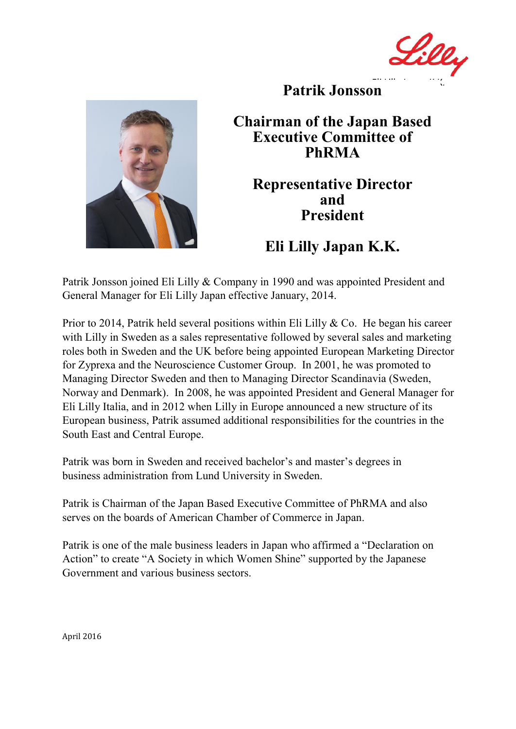Lilly Eli Lilly Japan K.K.



**Patrik Jonsson**

## **Chairman of the Japan Based Executive Committee of PhRMA**

## **Representative Director and President**

## **Eli Lilly Japan K.K.**

Patrik Jonsson joined Eli Lilly & Company in 1990 and was appointed President and General Manager for Eli Lilly Japan effective January, 2014.

Prior to 2014, Patrik held several positions within Eli Lilly & Co. He began his career with Lilly in Sweden as a sales representative followed by several sales and marketing roles both in Sweden and the UK before being appointed European Marketing Director for Zyprexa and the Neuroscience Customer Group. In 2001, he was promoted to Managing Director Sweden and then to Managing Director Scandinavia (Sweden, Norway and Denmark). In 2008, he was appointed President and General Manager for Eli Lilly Italia, and in 2012 when Lilly in Europe announced a new structure of its European business, Patrik assumed additional responsibilities for the countries in the South East and Central Europe.

Patrik was born in Sweden and received bachelor's and master's degrees in business administration from Lund University in Sweden.

Patrik is Chairman of the Japan Based Executive Committee of PhRMA and also serves on the boards of American Chamber of Commerce in Japan.

Patrik is one of the male business leaders in Japan who affirmed a "Declaration on Action" to create "A Society in which Women Shine" supported by the Japanese Government and various business sectors.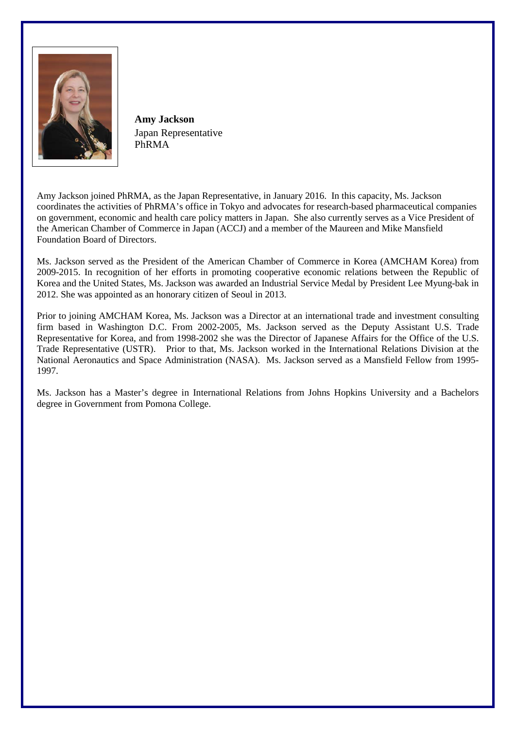

**Amy Jackson** Japan Representative PhRMA

Amy Jackson joined PhRMA, as the Japan Representative, in January 2016. In this capacity, Ms. Jackson coordinates the activities of PhRMA's office in Tokyo and advocates for research-based pharmaceutical companies on government, economic and health care policy matters in Japan. She also currently serves as a Vice President of the American Chamber of Commerce in Japan (ACCJ) and a member of the Maureen and Mike Mansfield Foundation Board of Directors.

Ms. Jackson served as the President of the American Chamber of Commerce in Korea (AMCHAM Korea) from 2009-2015. In recognition of her efforts in promoting cooperative economic relations between the Republic of Korea and the United States, Ms. Jackson was awarded an Industrial Service Medal by President Lee Myung-bak in 2012. She was appointed as an honorary citizen of Seoul in 2013.

Prior to joining AMCHAM Korea, Ms. Jackson was a Director at an international trade and investment consulting firm based in Washington D.C. From 2002-2005, Ms. Jackson served as the Deputy Assistant U.S. Trade Representative for Korea, and from 1998-2002 she was the Director of Japanese Affairs for the Office of the U.S. Trade Representative (USTR). Prior to that, Ms. Jackson worked in the International Relations Division at the National Aeronautics and Space Administration (NASA). Ms. Jackson served as a Mansfield Fellow from 1995- 1997.

Ms. Jackson has a Master's degree in International Relations from Johns Hopkins University and a Bachelors degree in Government from Pomona College.